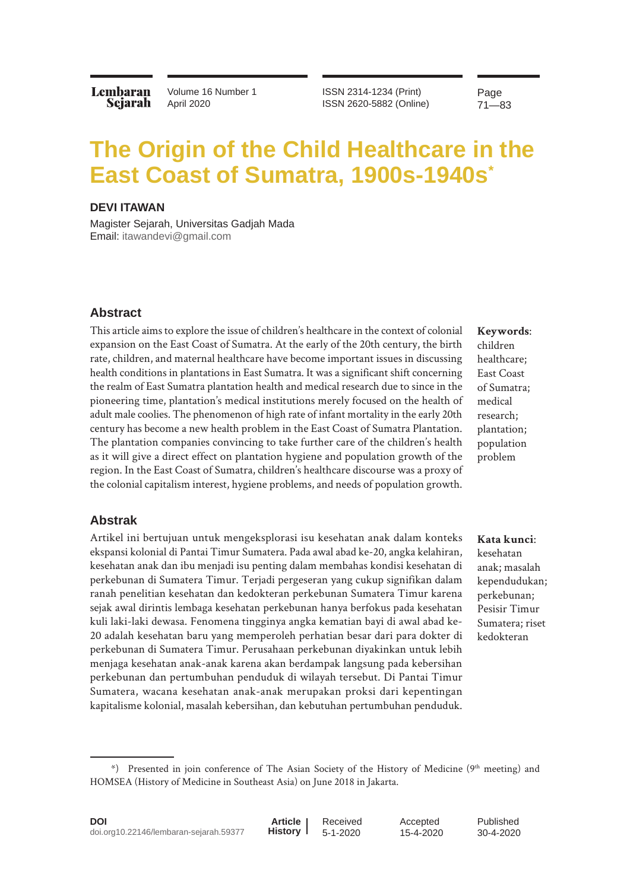**Lembaran** Sejarah Volume 16 Number 1 April 2020

ISSN 2314-1234 (Print) ISSN 2620-5882 (Online) Page 71—83

# **The Origin of the Child Healthcare in the East Coast of Sumatra, 1900s-1940s\***

## **DEVI ITAWAN**

Magister Sejarah, Universitas Gadjah Mada Email: [itawandevi@gmail.com](mailto:itawandevi%40gmail.com?subject=)

## **Abstract**

This article aims to explore the issue of children's healthcare in the context of colonial expansion on the East Coast of Sumatra. At the early of the 20th century, the birth rate, children, and maternal healthcare have become important issues in discussing health conditions in plantations in East Sumatra. It was a significant shift concerning the realm of East Sumatra plantation health and medical research due to since in the pioneering time, plantation's medical institutions merely focused on the health of adult male coolies. The phenomenon of high rate of infant mortality in the early 20th century has become a new health problem in the East Coast of Sumatra Plantation. The plantation companies convincing to take further care of the children's health as it will give a direct effect on plantation hygiene and population growth of the region. In the East Coast of Sumatra, children's healthcare discourse was a proxy of the colonial capitalism interest, hygiene problems, and needs of population growth.

# **Keywords**: children healthcare; East Coast of Sumatra; medical research; plantation; population problem

#### **Abstrak**

Artikel ini bertujuan untuk mengeksplorasi isu kesehatan anak dalam konteks ekspansi kolonial di Pantai Timur Sumatera. Pada awal abad ke-20, angka kelahiran, kesehatan anak dan ibu menjadi isu penting dalam membahas kondisi kesehatan di perkebunan di Sumatera Timur. Terjadi pergeseran yang cukup signifikan dalam ranah penelitian kesehatan dan kedokteran perkebunan Sumatera Timur karena sejak awal dirintis lembaga kesehatan perkebunan hanya berfokus pada kesehatan kuli laki-laki dewasa. Fenomena tingginya angka kematian bayi di awal abad ke-20 adalah kesehatan baru yang memperoleh perhatian besar dari para dokter di perkebunan di Sumatera Timur. Perusahaan perkebunan diyakinkan untuk lebih menjaga kesehatan anak-anak karena akan berdampak langsung pada kebersihan perkebunan dan pertumbuhan penduduk di wilayah tersebut. Di Pantai Timur Sumatera, wacana kesehatan anak-anak merupakan proksi dari kepentingan kapitalisme kolonial, masalah kebersihan, dan kebutuhan pertumbuhan penduduk.

**Kata kunci**: kesehatan anak; masalah kependudukan; perkebunan; Pesisir Timur Sumatera; riset kedokteran

<sup>\*)</sup> Presented in join conference of The Asian Society of the History of Medicine (9th meeting) and HOMSEA (History of Medicine in Southeast Asia) on June 2018 in Jakarta.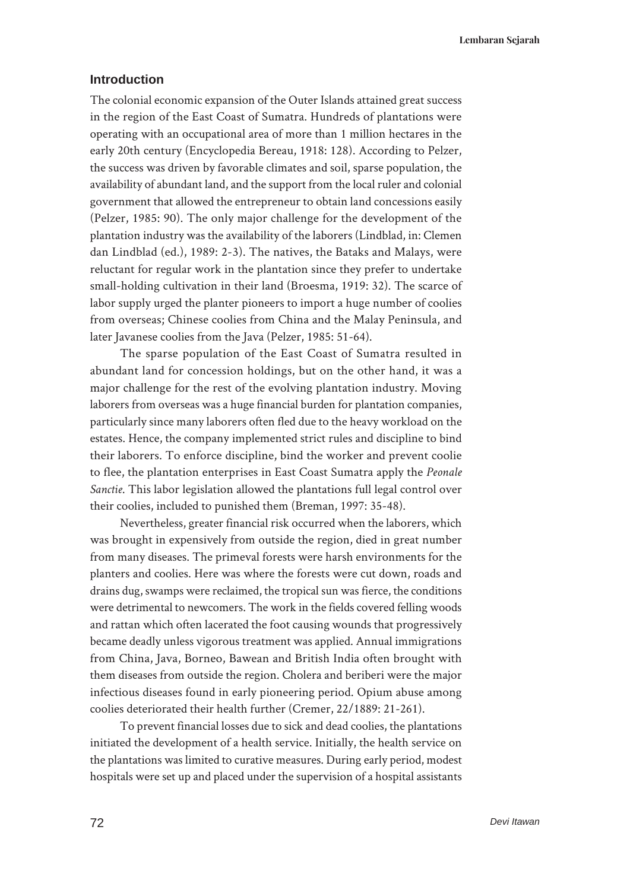**Lembaran Sejarah**

## **Introduction**

The colonial economic expansion of the Outer Islands attained great success in the region of the East Coast of Sumatra. Hundreds of plantations were operating with an occupational area of more than 1 million hectares in the early 20th century (Encyclopedia Bereau, 1918: 128). According to Pelzer, the success was driven by favorable climates and soil, sparse population, the availability of abundant land, and the support from the local ruler and colonial government that allowed the entrepreneur to obtain land concessions easily (Pelzer, 1985: 90). The only major challenge for the development of the plantation industry was the availability of the laborers (Lindblad, in: Clemen dan Lindblad (ed.), 1989: 2-3). The natives, the Bataks and Malays, were reluctant for regular work in the plantation since they prefer to undertake small-holding cultivation in their land (Broesma, 1919: 32). The scarce of labor supply urged the planter pioneers to import a huge number of coolies from overseas; Chinese coolies from China and the Malay Peninsula, and later Javanese coolies from the Java (Pelzer, 1985: 51-64).

The sparse population of the East Coast of Sumatra resulted in abundant land for concession holdings, but on the other hand, it was a major challenge for the rest of the evolving plantation industry. Moving laborers from overseas was a huge financial burden for plantation companies, particularly since many laborers often fled due to the heavy workload on the estates. Hence, the company implemented strict rules and discipline to bind their laborers. To enforce discipline, bind the worker and prevent coolie to flee, the plantation enterprises in East Coast Sumatra apply the *Peonale Sanctie*. This labor legislation allowed the plantations full legal control over their coolies, included to punished them (Breman, 1997: 35-48).

Nevertheless, greater financial risk occurred when the laborers, which was brought in expensively from outside the region, died in great number from many diseases. The primeval forests were harsh environments for the planters and coolies. Here was where the forests were cut down, roads and drains dug, swamps were reclaimed, the tropical sun was fierce, the conditions were detrimental to newcomers. The work in the fields covered felling woods and rattan which often lacerated the foot causing wounds that progressively became deadly unless vigorous treatment was applied. Annual immigrations from China, Java, Borneo, Bawean and British India often brought with them diseases from outside the region. Cholera and beriberi were the major infectious diseases found in early pioneering period. Opium abuse among coolies deteriorated their health further (Cremer, 22/1889: 21-261).

To prevent financial losses due to sick and dead coolies, the plantations initiated the development of a health service. Initially, the health service on the plantations was limited to curative measures. During early period, modest hospitals were set up and placed under the supervision of a hospital assistants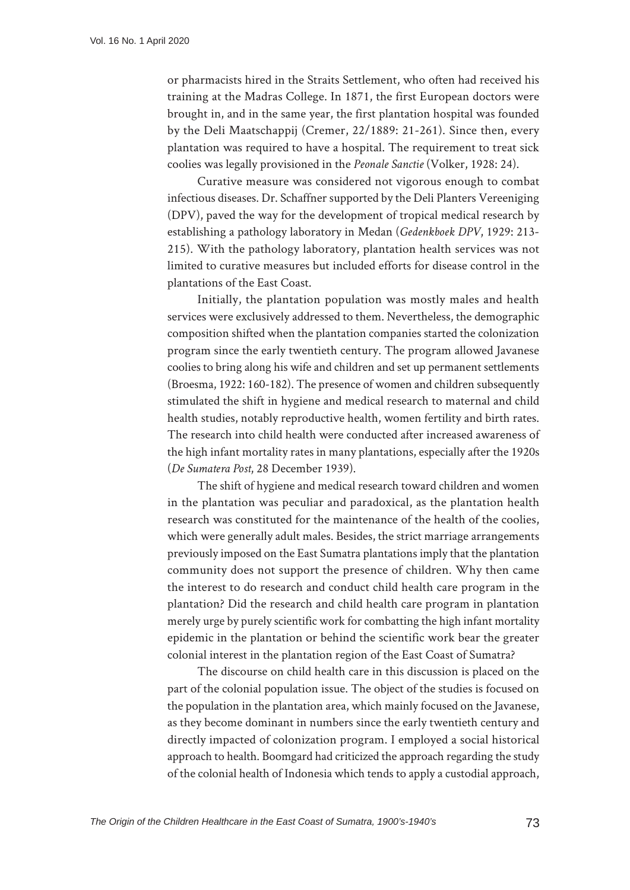or pharmacists hired in the Straits Settlement, who often had received his training at the Madras College. In 1871, the first European doctors were brought in, and in the same year, the first plantation hospital was founded by the Deli Maatschappij (Cremer, 22/1889: 21-261). Since then, every plantation was required to have a hospital. The requirement to treat sick coolies was legally provisioned in the *Peonale Sanctie* (Volker, 1928: 24).

Curative measure was considered not vigorous enough to combat infectious diseases. Dr. Schaffner supported by the Deli Planters Vereeniging (DPV), paved the way for the development of tropical medical research by establishing a pathology laboratory in Medan (*Gedenkboek DPV*, 1929: 213- 215). With the pathology laboratory, plantation health services was not limited to curative measures but included efforts for disease control in the plantations of the East Coast.

Initially, the plantation population was mostly males and health services were exclusively addressed to them. Nevertheless, the demographic composition shifted when the plantation companies started the colonization program since the early twentieth century. The program allowed Javanese coolies to bring along his wife and children and set up permanent settlements (Broesma, 1922: 160-182). The presence of women and children subsequently stimulated the shift in hygiene and medical research to maternal and child health studies, notably reproductive health, women fertility and birth rates. The research into child health were conducted after increased awareness of the high infant mortality rates in many plantations, especially after the 1920s (*De Sumatera Post*, 28 December 1939).

The shift of hygiene and medical research toward children and women in the plantation was peculiar and paradoxical, as the plantation health research was constituted for the maintenance of the health of the coolies, which were generally adult males. Besides, the strict marriage arrangements previously imposed on the East Sumatra plantations imply that the plantation community does not support the presence of children. Why then came the interest to do research and conduct child health care program in the plantation? Did the research and child health care program in plantation merely urge by purely scientific work for combatting the high infant mortality epidemic in the plantation or behind the scientific work bear the greater colonial interest in the plantation region of the East Coast of Sumatra?

The discourse on child health care in this discussion is placed on the part of the colonial population issue. The object of the studies is focused on the population in the plantation area, which mainly focused on the Javanese, as they become dominant in numbers since the early twentieth century and directly impacted of colonization program. I employed a social historical approach to health. Boomgard had criticized the approach regarding the study of the colonial health of Indonesia which tends to apply a custodial approach,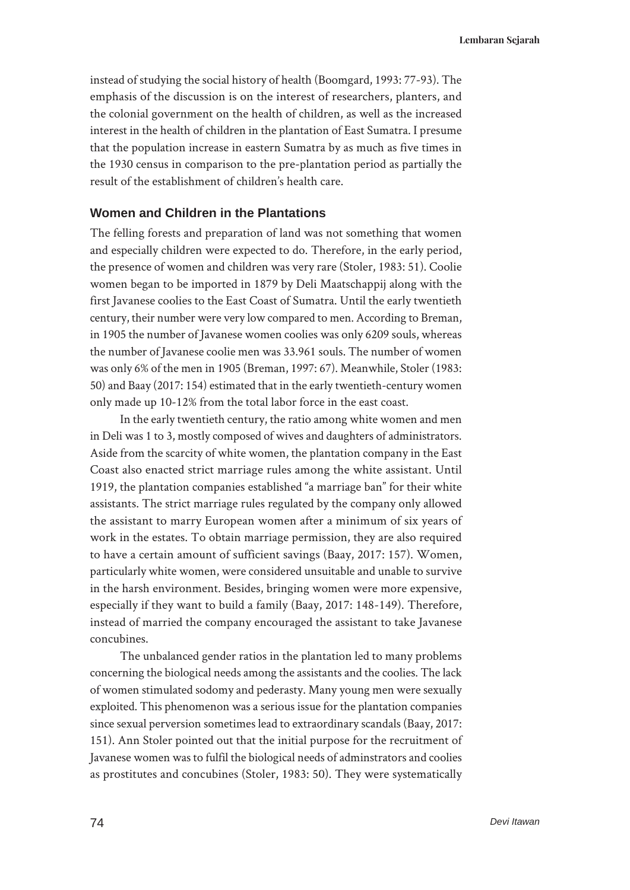instead of studying the social history of health (Boomgard, 1993: 77-93). The emphasis of the discussion is on the interest of researchers, planters, and the colonial government on the health of children, as well as the increased interest in the health of children in the plantation of East Sumatra. I presume that the population increase in eastern Sumatra by as much as five times in the 1930 census in comparison to the pre-plantation period as partially the result of the establishment of children's health care.

## **Women and Children in the Plantations**

The felling forests and preparation of land was not something that women and especially children were expected to do. Therefore, in the early period, the presence of women and children was very rare (Stoler, 1983: 51). Coolie women began to be imported in 1879 by Deli Maatschappij along with the first Javanese coolies to the East Coast of Sumatra. Until the early twentieth century, their number were very low compared to men. According to Breman, in 1905 the number of Javanese women coolies was only 6209 souls, whereas the number of Javanese coolie men was 33.961 souls. The number of women was only 6% of the men in 1905 (Breman, 1997: 67). Meanwhile, Stoler (1983: 50) and Baay (2017: 154) estimated that in the early twentieth-century women only made up 10-12% from the total labor force in the east coast.

In the early twentieth century, the ratio among white women and men in Deli was 1 to 3, mostly composed of wives and daughters of administrators. Aside from the scarcity of white women, the plantation company in the East Coast also enacted strict marriage rules among the white assistant. Until 1919, the plantation companies established "a marriage ban" for their white assistants. The strict marriage rules regulated by the company only allowed the assistant to marry European women after a minimum of six years of work in the estates. To obtain marriage permission, they are also required to have a certain amount of sufficient savings (Baay, 2017: 157). Women, particularly white women, were considered unsuitable and unable to survive in the harsh environment. Besides, bringing women were more expensive, especially if they want to build a family (Baay, 2017: 148-149). Therefore, instead of married the company encouraged the assistant to take Javanese concubines.

The unbalanced gender ratios in the plantation led to many problems concerning the biological needs among the assistants and the coolies. The lack of women stimulated sodomy and pederasty. Many young men were sexually exploited. This phenomenon was a serious issue for the plantation companies since sexual perversion sometimes lead to extraordinary scandals (Baay, 2017: 151). Ann Stoler pointed out that the initial purpose for the recruitment of Javanese women was to fulfil the biological needs of adminstrators and coolies as prostitutes and concubines (Stoler, 1983: 50). They were systematically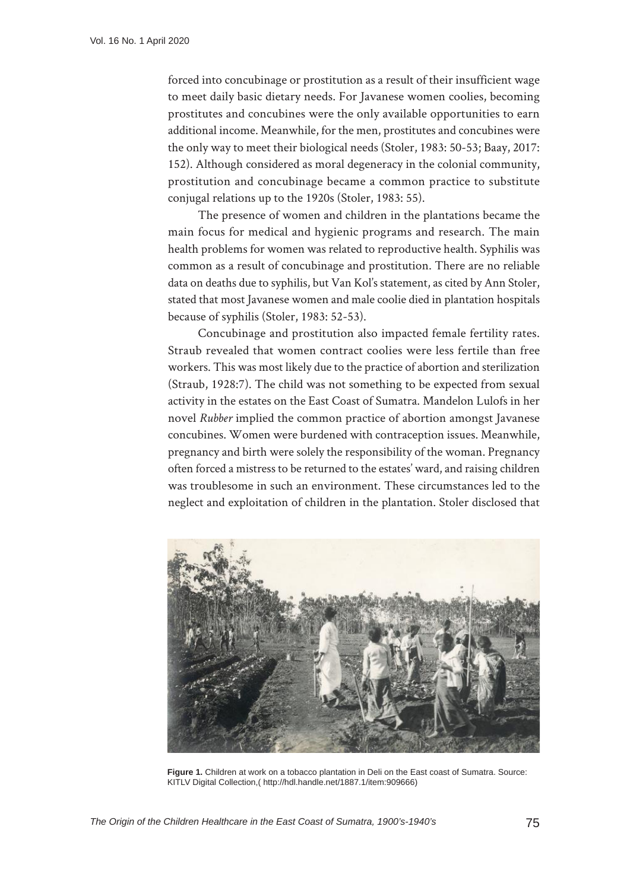forced into concubinage or prostitution as a result of their insufficient wage to meet daily basic dietary needs. For Javanese women coolies, becoming prostitutes and concubines were the only available opportunities to earn additional income. Meanwhile, for the men, prostitutes and concubines were the only way to meet their biological needs (Stoler, 1983: 50-53; Baay, 2017: 152). Although considered as moral degeneracy in the colonial community, prostitution and concubinage became a common practice to substitute conjugal relations up to the 1920s (Stoler, 1983: 55).

The presence of women and children in the plantations became the main focus for medical and hygienic programs and research. The main health problems for women was related to reproductive health. Syphilis was common as a result of concubinage and prostitution. There are no reliable data on deaths due to syphilis, but Van Kol's statement, as cited by Ann Stoler, stated that most Javanese women and male coolie died in plantation hospitals because of syphilis (Stoler, 1983: 52-53).

Concubinage and prostitution also impacted female fertility rates. Straub revealed that women contract coolies were less fertile than free workers. This was most likely due to the practice of abortion and sterilization (Straub, 1928:7). The child was not something to be expected from sexual activity in the estates on the East Coast of Sumatra. Mandelon Lulofs in her novel *Rubber* implied the common practice of abortion amongst Javanese concubines. Women were burdened with contraception issues. Meanwhile, pregnancy and birth were solely the responsibility of the woman. Pregnancy often forced a mistress to be returned to the estates' ward, and raising children was troublesome in such an environment. These circumstances led to the neglect and exploitation of children in the plantation. Stoler disclosed that



**Figure 1.** Children at work on a tobacco plantation in Deli on the East coast of Sumatra. Source: KITLV Digital Collection,( <http://hdl.handle.net/1887.1/item:909666>)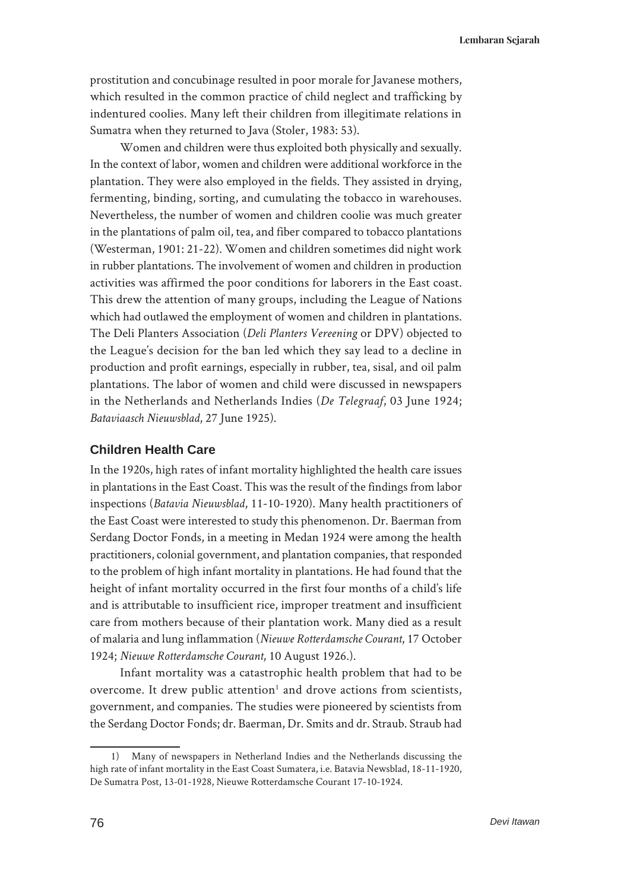**Lembaran Sejarah**

prostitution and concubinage resulted in poor morale for Javanese mothers, which resulted in the common practice of child neglect and trafficking by indentured coolies. Many left their children from illegitimate relations in Sumatra when they returned to Java (Stoler, 1983: 53).

Women and children were thus exploited both physically and sexually. In the context of labor, women and children were additional workforce in the plantation. They were also employed in the fields. They assisted in drying, fermenting, binding, sorting, and cumulating the tobacco in warehouses. Nevertheless, the number of women and children coolie was much greater in the plantations of palm oil, tea, and fiber compared to tobacco plantations (Westerman, 1901: 21-22). Women and children sometimes did night work in rubber plantations. The involvement of women and children in production activities was affirmed the poor conditions for laborers in the East coast. This drew the attention of many groups, including the League of Nations which had outlawed the employment of women and children in plantations. The Deli Planters Association (*Deli Planters Vereening* or DPV) objected to the League's decision for the ban led which they say lead to a decline in production and profit earnings, especially in rubber, tea, sisal, and oil palm plantations. The labor of women and child were discussed in newspapers in the Netherlands and Netherlands Indies (*De Telegraaf*, 03 June 1924; *Bataviaasch Nieuwsblad*, 27 June 1925).

# **Children Health Care**

In the 1920s, high rates of infant mortality highlighted the health care issues in plantations in the East Coast. This was the result of the findings from labor inspections (*Batavia Nieuwsblad*, 11-10-1920). Many health practitioners of the East Coast were interested to study this phenomenon. Dr. Baerman from Serdang Doctor Fonds, in a meeting in Medan 1924 were among the health practitioners, colonial government, and plantation companies, that responded to the problem of high infant mortality in plantations. He had found that the height of infant mortality occurred in the first four months of a child's life and is attributable to insufficient rice, improper treatment and insufficient care from mothers because of their plantation work. Many died as a result of malaria and lung inflammation (*Nieuwe Rotterdamsche Courant*, 17 October 1924; *Nieuwe Rotterdamsche Courant*, 10 August 1926.).

Infant mortality was a catastrophic health problem that had to be overcome. It drew public attention<sup>1</sup> and drove actions from scientists, government, and companies. The studies were pioneered by scientists from the Serdang Doctor Fonds; dr. Baerman, Dr. Smits and dr. Straub. Straub had

<sup>1)</sup> Many of newspapers in Netherland Indies and the Netherlands discussing the high rate of infant mortality in the East Coast Sumatera, i.e. Batavia Newsblad, 18-11-1920, De Sumatra Post, 13-01-1928, Nieuwe Rotterdamsche Courant 17-10-1924.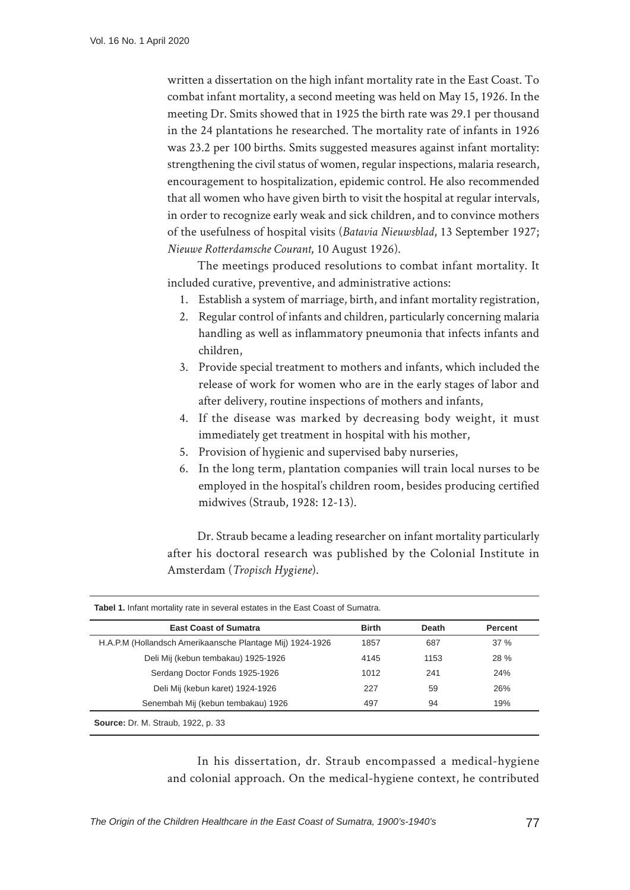written a dissertation on the high infant mortality rate in the East Coast. To combat infant mortality, a second meeting was held on May 15, 1926. In the meeting Dr. Smits showed that in 1925 the birth rate was 29.1 per thousand in the 24 plantations he researched. The mortality rate of infants in 1926 was 23.2 per 100 births. Smits suggested measures against infant mortality: strengthening the civil status of women, regular inspections, malaria research, encouragement to hospitalization, epidemic control. He also recommended that all women who have given birth to visit the hospital at regular intervals, in order to recognize early weak and sick children, and to convince mothers of the usefulness of hospital visits (*Batavia Nieuwsblad*, 13 September 1927; *Nieuwe Rotterdamsche Courant*, 10 August 1926).

The meetings produced resolutions to combat infant mortality. It included curative, preventive, and administrative actions:

- 1. Establish a system of marriage, birth, and infant mortality registration,
- 2. Regular control of infants and children, particularly concerning malaria handling as well as inflammatory pneumonia that infects infants and children,
- 3. Provide special treatment to mothers and infants, which included the release of work for women who are in the early stages of labor and after delivery, routine inspections of mothers and infants,
- 4. If the disease was marked by decreasing body weight, it must immediately get treatment in hospital with his mother,
- 5. Provision of hygienic and supervised baby nurseries,
- 6. In the long term, plantation companies will train local nurses to be employed in the hospital's children room, besides producing certified midwives (Straub, 1928: 12-13).

Dr. Straub became a leading researcher on infant mortality particularly after his doctoral research was published by the Colonial Institute in Amsterdam (*Tropisch Hygiene*).

| <b>East Coast of Sumatra</b>                              | <b>Birth</b> | <b>Death</b> | Percent |
|-----------------------------------------------------------|--------------|--------------|---------|
| H.A.P.M (Hollandsch Amerikaansche Plantage Mij) 1924-1926 | 1857         | 687          | 37%     |
| Deli Mij (kebun tembakau) 1925-1926                       | 4145         | 1153         | 28 %    |
| Serdang Doctor Fonds 1925-1926                            | 1012         | 241          | 24%     |
| Deli Mij (kebun karet) 1924-1926                          | 227          | 59           | 26%     |
| Senembah Mij (kebun tembakau) 1926                        | 497          | 94           | 19%     |

In his dissertation, dr. Straub encompassed a medical-hygiene and colonial approach. On the medical-hygiene context, he contributed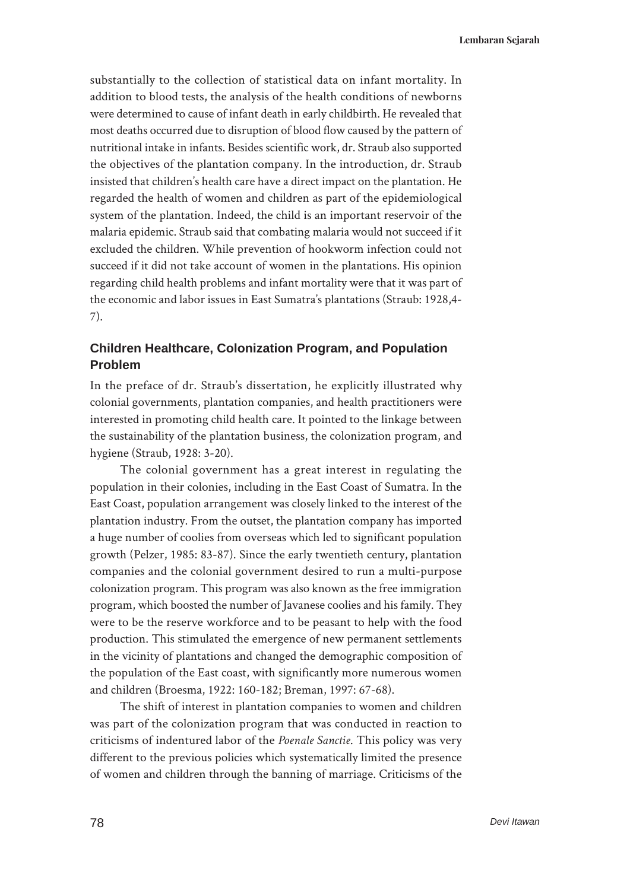substantially to the collection of statistical data on infant mortality. In addition to blood tests, the analysis of the health conditions of newborns were determined to cause of infant death in early childbirth. He revealed that most deaths occurred due to disruption of blood flow caused by the pattern of nutritional intake in infants. Besides scientific work, dr. Straub also supported the objectives of the plantation company. In the introduction, dr. Straub insisted that children's health care have a direct impact on the plantation. He regarded the health of women and children as part of the epidemiological system of the plantation. Indeed, the child is an important reservoir of the malaria epidemic. Straub said that combating malaria would not succeed if it excluded the children. While prevention of hookworm infection could not succeed if it did not take account of women in the plantations. His opinion regarding child health problems and infant mortality were that it was part of the economic and labor issues in East Sumatra's plantations (Straub: 1928,4- 7).

# **Children Healthcare, Colonization Program, and Population Problem**

In the preface of dr. Straub's dissertation, he explicitly illustrated why colonial governments, plantation companies, and health practitioners were interested in promoting child health care. It pointed to the linkage between the sustainability of the plantation business, the colonization program, and hygiene (Straub, 1928: 3-20).

The colonial government has a great interest in regulating the population in their colonies, including in the East Coast of Sumatra. In the East Coast, population arrangement was closely linked to the interest of the plantation industry. From the outset, the plantation company has imported a huge number of coolies from overseas which led to significant population growth (Pelzer, 1985: 83-87). Since the early twentieth century, plantation companies and the colonial government desired to run a multi-purpose colonization program. This program was also known as the free immigration program, which boosted the number of Javanese coolies and his family. They were to be the reserve workforce and to be peasant to help with the food production. This stimulated the emergence of new permanent settlements in the vicinity of plantations and changed the demographic composition of the population of the East coast, with significantly more numerous women and children (Broesma, 1922: 160-182; Breman, 1997: 67-68).

The shift of interest in plantation companies to women and children was part of the colonization program that was conducted in reaction to criticisms of indentured labor of the *Poenale Sanctie*. This policy was very different to the previous policies which systematically limited the presence of women and children through the banning of marriage. Criticisms of the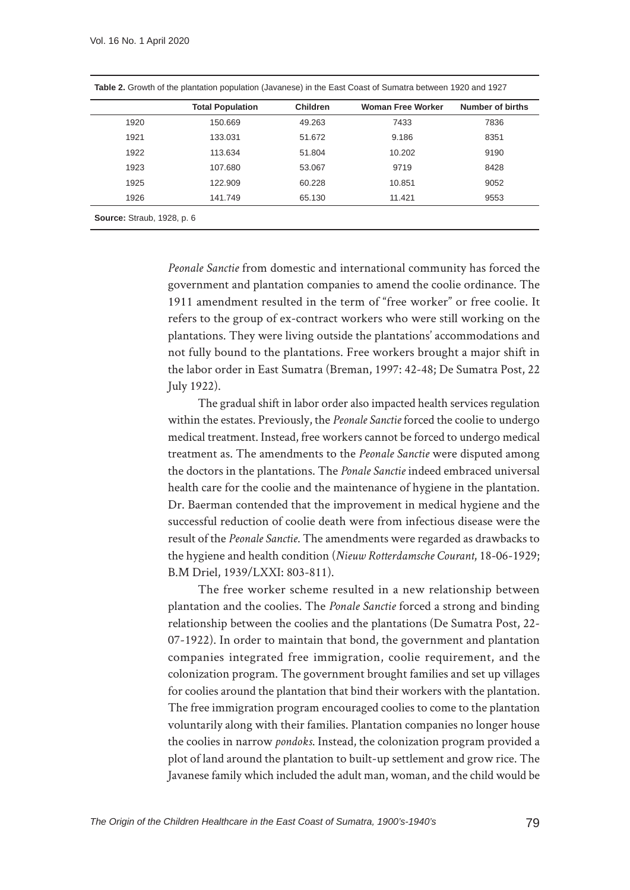|      | <b>Total Population</b> | Children | <b>Woman Free Worker</b> | Number of births |
|------|-------------------------|----------|--------------------------|------------------|
| 1920 | 150.669                 | 49.263   | 7433                     | 7836             |
| 1921 | 133.031                 | 51.672   | 9.186                    | 8351             |
| 1922 | 113.634                 | 51.804   | 10.202                   | 9190             |
| 1923 | 107.680                 | 53.067   | 9719                     | 8428             |
| 1925 | 122.909                 | 60.228   | 10.851                   | 9052             |
| 1926 | 141.749                 | 65.130   | 11.421                   | 9553             |

**Table 2.** Growth of the plantation population (Javanese) in the East Coast of Sumatra between 1920 and 1927

*Peonale Sanctie* from domestic and international community has forced the government and plantation companies to amend the coolie ordinance. The 1911 amendment resulted in the term of "free worker" or free coolie. It refers to the group of ex-contract workers who were still working on the plantations. They were living outside the plantations' accommodations and not fully bound to the plantations. Free workers brought a major shift in the labor order in East Sumatra (Breman, 1997: 42-48; De Sumatra Post, 22 July 1922).

The gradual shift in labor order also impacted health services regulation within the estates. Previously, the *Peonale Sanctie* forced the coolie to undergo medical treatment. Instead, free workers cannot be forced to undergo medical treatment as. The amendments to the *Peonale Sanctie* were disputed among the doctors in the plantations. The *Ponale Sanctie* indeed embraced universal health care for the coolie and the maintenance of hygiene in the plantation. Dr. Baerman contended that the improvement in medical hygiene and the successful reduction of coolie death were from infectious disease were the result of the *Peonale Sanctie*. The amendments were regarded as drawbacks to the hygiene and health condition (*Nieuw Rotterdamsche Courant*, 18-06-1929; B.M Driel, 1939/LXXI: 803-811).

The free worker scheme resulted in a new relationship between plantation and the coolies. The *Ponale Sanctie* forced a strong and binding relationship between the coolies and the plantations (De Sumatra Post, 22- 07-1922). In order to maintain that bond, the government and plantation companies integrated free immigration, coolie requirement, and the colonization program. The government brought families and set up villages for coolies around the plantation that bind their workers with the plantation. The free immigration program encouraged coolies to come to the plantation voluntarily along with their families. Plantation companies no longer house the coolies in narrow *pondoks*. Instead, the colonization program provided a plot of land around the plantation to built-up settlement and grow rice. The Javanese family which included the adult man, woman, and the child would be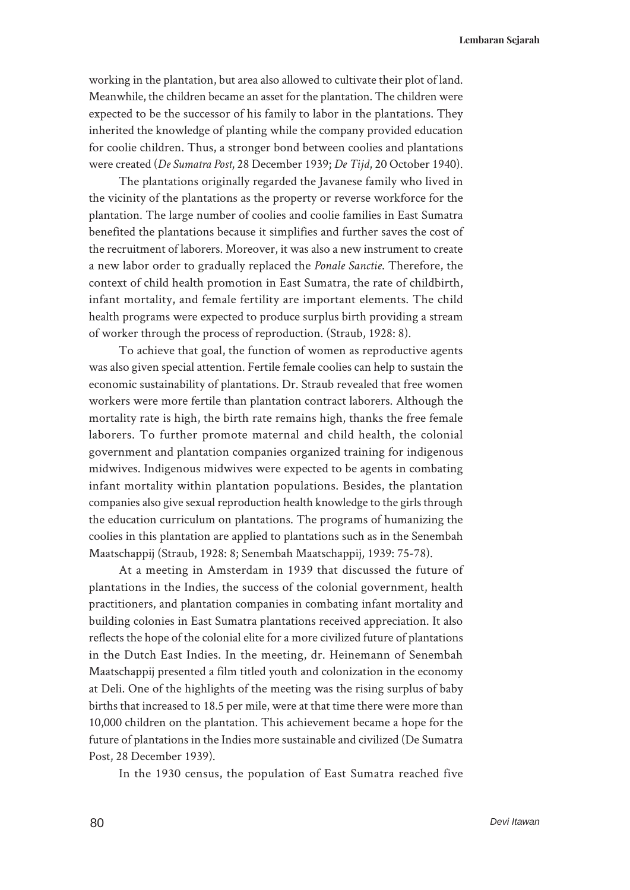working in the plantation, but area also allowed to cultivate their plot of land. Meanwhile, the children became an asset for the plantation. The children were expected to be the successor of his family to labor in the plantations. They inherited the knowledge of planting while the company provided education for coolie children. Thus, a stronger bond between coolies and plantations were created (*De Sumatra Post*, 28 December 1939; *De Tijd*, 20 October 1940).

The plantations originally regarded the Javanese family who lived in the vicinity of the plantations as the property or reverse workforce for the plantation. The large number of coolies and coolie families in East Sumatra benefited the plantations because it simplifies and further saves the cost of the recruitment of laborers. Moreover, it was also a new instrument to create a new labor order to gradually replaced the *Ponale Sanctie*. Therefore, the context of child health promotion in East Sumatra, the rate of childbirth, infant mortality, and female fertility are important elements. The child health programs were expected to produce surplus birth providing a stream of worker through the process of reproduction. (Straub, 1928: 8).

To achieve that goal, the function of women as reproductive agents was also given special attention. Fertile female coolies can help to sustain the economic sustainability of plantations. Dr. Straub revealed that free women workers were more fertile than plantation contract laborers. Although the mortality rate is high, the birth rate remains high, thanks the free female laborers. To further promote maternal and child health, the colonial government and plantation companies organized training for indigenous midwives. Indigenous midwives were expected to be agents in combating infant mortality within plantation populations. Besides, the plantation companies also give sexual reproduction health knowledge to the girls through the education curriculum on plantations. The programs of humanizing the coolies in this plantation are applied to plantations such as in the Senembah Maatschappij (Straub, 1928: 8; Senembah Maatschappij, 1939: 75-78).

At a meeting in Amsterdam in 1939 that discussed the future of plantations in the Indies, the success of the colonial government, health practitioners, and plantation companies in combating infant mortality and building colonies in East Sumatra plantations received appreciation. It also reflects the hope of the colonial elite for a more civilized future of plantations in the Dutch East Indies. In the meeting, dr. Heinemann of Senembah Maatschappij presented a film titled youth and colonization in the economy at Deli. One of the highlights of the meeting was the rising surplus of baby births that increased to 18.5 per mile, were at that time there were more than 10,000 children on the plantation. This achievement became a hope for the future of plantations in the Indies more sustainable and civilized (De Sumatra Post, 28 December 1939).

In the 1930 census, the population of East Sumatra reached five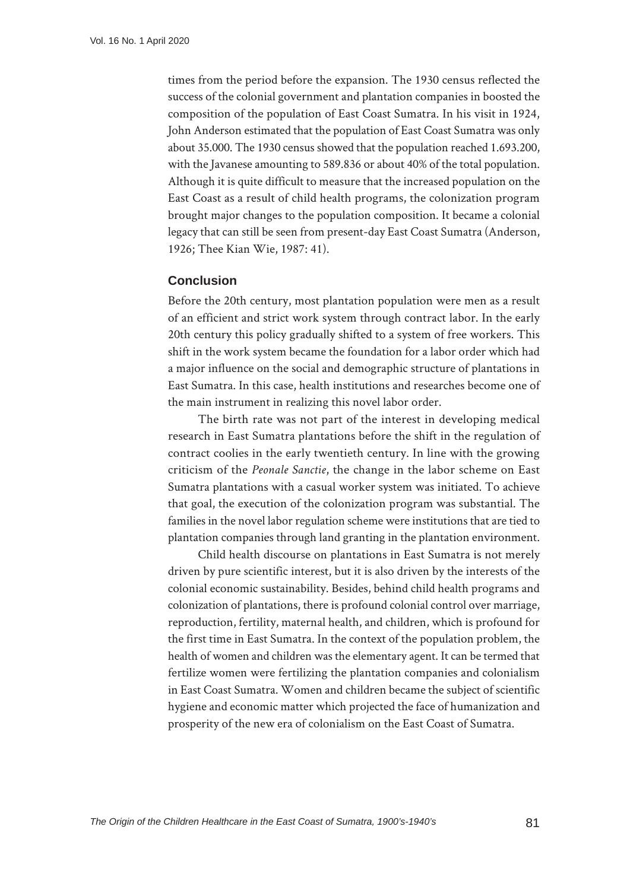times from the period before the expansion. The 1930 census reflected the success of the colonial government and plantation companies in boosted the composition of the population of East Coast Sumatra. In his visit in 1924, John Anderson estimated that the population of East Coast Sumatra was only about 35.000. The 1930 census showed that the population reached 1.693.200, with the Javanese amounting to 589.836 or about 40% of the total population. Although it is quite difficult to measure that the increased population on the East Coast as a result of child health programs, the colonization program brought major changes to the population composition. It became a colonial legacy that can still be seen from present-day East Coast Sumatra (Anderson, 1926; Thee Kian Wie, 1987: 41).

## **Conclusion**

Before the 20th century, most plantation population were men as a result of an efficient and strict work system through contract labor. In the early 20th century this policy gradually shifted to a system of free workers. This shift in the work system became the foundation for a labor order which had a major influence on the social and demographic structure of plantations in East Sumatra. In this case, health institutions and researches become one of the main instrument in realizing this novel labor order.

The birth rate was not part of the interest in developing medical research in East Sumatra plantations before the shift in the regulation of contract coolies in the early twentieth century. In line with the growing criticism of the *Peonale Sanctie*, the change in the labor scheme on East Sumatra plantations with a casual worker system was initiated. To achieve that goal, the execution of the colonization program was substantial. The families in the novel labor regulation scheme were institutions that are tied to plantation companies through land granting in the plantation environment.

Child health discourse on plantations in East Sumatra is not merely driven by pure scientific interest, but it is also driven by the interests of the colonial economic sustainability. Besides, behind child health programs and colonization of plantations, there is profound colonial control over marriage, reproduction, fertility, maternal health, and children, which is profound for the first time in East Sumatra. In the context of the population problem, the health of women and children was the elementary agent. It can be termed that fertilize women were fertilizing the plantation companies and colonialism in East Coast Sumatra. Women and children became the subject of scientific hygiene and economic matter which projected the face of humanization and prosperity of the new era of colonialism on the East Coast of Sumatra.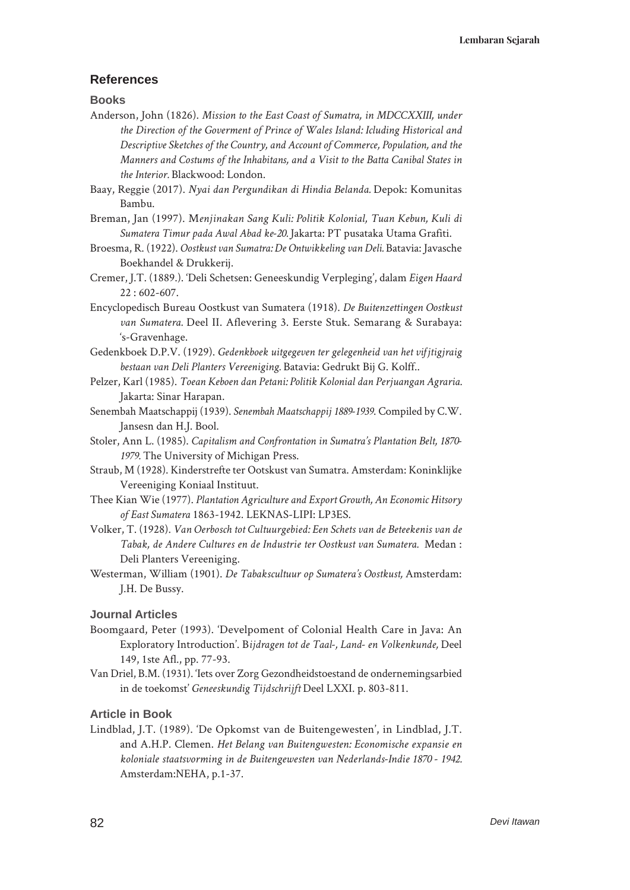## **References**

**Books**

- Anderson, John (1826). *Mission to the East Coast of Sumatra, in MDCCXXIII, under the Direction of the Goverment of Prince of Wales Island: Icluding Historical and Descriptive Sketches of the Country, and Account of Commerce, Population, and the Manners and Costums of the Inhabitans, and a Visit to the Batta Canibal States in the Interior.* Blackwood: London.
- Baay, Reggie (2017). *Nyai dan Pergundikan di Hindia Belanda.* Depok: Komunitas Bambu.
- Breman, Jan (1997). M*enjinakan Sang Kuli: Politik Kolonial, Tuan Kebun, Kuli di Sumatera Timur pada Awal Abad ke-20.* Jakarta: PT pusataka Utama Grafiti.
- Broesma, R. (1922). *Oostkust van Sumatra: De Ontwikkeling van Deli.* Batavia: Javasche Boekhandel & Drukkerij.
- Cremer, J.T. (1889.). 'Deli Schetsen: Geneeskundig Verpleging', dalam *Eigen Haard*  22 : 602-607.
- Encyclopedisch Bureau Oostkust van Sumatera (1918). *De Buitenzettingen Oostkust van Sumatera.* Deel II. Aflevering 3. Eerste Stuk. Semarang & Surabaya: 's-Gravenhage.
- Gedenkboek D.P.V. (1929). *Gedenkboek uitgegeven ter gelegenheid van het vifjtigjraig bestaan van Deli Planters Vereeniging.* Batavia: Gedrukt Bij G. Kolff..
- Pelzer, Karl (1985). *Toean Keboen dan Petani: Politik Kolonial dan Perjuangan Agraria.* Jakarta: Sinar Harapan.
- Senembah Maatschappij (1939). *Senembah Maatschappij 1889-1939*. Compiled by C.W. Jansesn dan H.J. Bool.
- Stoler, Ann L. (1985). *Capitalism and Confrontation in Sumatra's Plantation Belt, 1870- 1979.* The University of Michigan Press.
- Straub, M (1928). Kinderstrefte ter Ootskust van Sumatra. Amsterdam: Koninklijke Vereeniging Koniaal Instituut.
- Thee Kian Wie (1977). *Plantation Agriculture and Export Growth, An Economic Hitsory of East Sumatera* 1863-1942. LEKNAS-LIPI: LP3ES.
- Volker, T. (1928). *Van Oerbosch tot Cultuurgebied: Een Schets van de Beteekenis van de Tabak, de Andere Cultures en de Industrie ter Oostkust van Sumatera.* Medan : Deli Planters Vereeniging.
- Westerman, William (1901). *De Tabakscultuur op Sumatera's Oostkust,* Amsterdam: J.H. De Bussy.

### **Journal Articles**

- Boomgaard, Peter (1993). 'Develpoment of Colonial Health Care in Java: An Exploratory Introduction'. B*ijdragen tot de Taal-, Land- en Volkenkunde,* Deel 149, 1ste Afl., pp. 77-93.
- Van Driel, B.M. (1931). 'Iets over Zorg Gezondheidstoestand de ondernemingsarbied in de toekomst' *Geneeskundig Tijdschrijft* Deel LXXI. p. 803-811.

### **Article in Book**

Lindblad, J.T. (1989). 'De Opkomst van de Buitengewesten', in Lindblad, J.T. and A.H.P. Clemen. *Het Belang van Buitengwesten: Economische expansie en koloniale staatsvorming in de Buitengewesten van Nederlands-Indie 1870 - 1942.*  Amsterdam:NEHA, p.1-37.